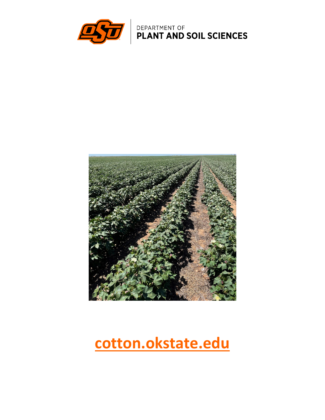

DEPARTMENT OF **PLANT AND SOIL SCIENCES** 



# **cotton.okstate.edu**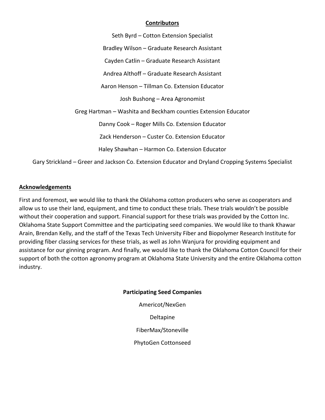#### **Contributors**

Seth Byrd – Cotton Extension Specialist Bradley Wilson – Graduate Research Assistant Cayden Catlin – Graduate Research Assistant Andrea Althoff – Graduate Research Assistant Aaron Henson – Tillman Co. Extension Educator Josh Bushong – Area Agronomist Greg Hartman – Washita and Beckham counties Extension Educator Danny Cook – Roger Mills Co. Extension Educator Zack Henderson – Custer Co. Extension Educator Haley Shawhan – Harmon Co. Extension Educator Gary Strickland – Greer and Jackson Co. Extension Educator and Dryland Cropping Systems Specialist

#### **Acknowledgements**

First and foremost, we would like to thank the Oklahoma cotton producers who serve as cooperators and allow us to use their land, equipment, and time to conduct these trials. These trials wouldn't be possible without their cooperation and support. Financial support for these trials was provided by the Cotton Inc. Oklahoma State Support Committee and the participating seed companies. We would like to thank Khawar Arain, Brendan Kelly, and the staff of the Texas Tech University Fiber and Biopolymer Research Institute for providing fiber classing services for these trials, as well as John Wanjura for providing equipment and assistance for our ginning program. And finally, we would like to thank the Oklahoma Cotton Council for their support of both the cotton agronomy program at Oklahoma State University and the entire Oklahoma cotton industry.

#### **Participating Seed Companies**

Americot/NexGen Deltapine FiberMax/Stoneville PhytoGen Cottonseed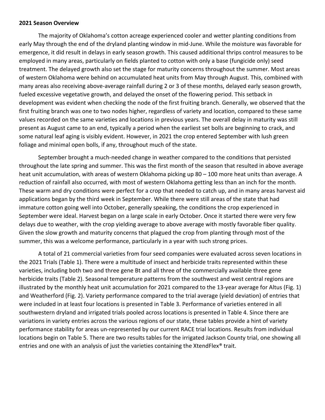#### **2021 Season Overview**

The majority of Oklahoma's cotton acreage experienced cooler and wetter planting conditions from early May through the end of the dryland planting window in mid-June. While the moisture was favorable for emergence, it did result in delays in early season growth. This caused additional thrips control measures to be employed in many areas, particularly on fields planted to cotton with only a base (fungicide only) seed treatment. The delayed growth also set the stage for maturity concerns throughout the summer. Most areas of western Oklahoma were behind on accumulated heat units from May through August. This, combined with many areas also receiving above-average rainfall during 2 or 3 of these months, delayed early season growth, fueled excessive vegetative growth, and delayed the onset of the flowering period. This setback in development was evident when checking the node of the first fruiting branch. Generally, we observed that the first fruiting branch was one to two nodes higher, regardless of variety and location, compared to these same values recorded on the same varieties and locations in previous years. The overall delay in maturity was still present as August came to an end, typically a period when the earliest set bolls are beginning to crack, and some natural leaf aging is visibly evident. However, in 2021 the crop entered September with lush green foliage and minimal open bolls, if any, throughout much of the state.

September brought a much-needed change in weather compared to the conditions that persisted throughout the late spring and summer. This was the first month of the season that resulted in above average heat unit accumulation, with areas of western Oklahoma picking up 80 - 100 more heat units than average. A reduction of rainfall also occurred, with most of western Oklahoma getting less than an inch for the month. These warm and dry conditions were perfect for a crop that needed to catch up, and in many areas harvest aid applications began by the third week in September. While there were still areas of the state that had immature cotton going well into October, generally speaking, the conditions the crop experienced in September were ideal. Harvest began on a large scale in early October. Once it started there were very few delays due to weather, with the crop yielding average to above average with mostly favorable fiber quality. Given the slow growth and maturity concerns that plagued the crop from planting through most of the summer, this was a welcome performance, particularly in a year with such strong prices.

A total of 21 commercial varieties from four seed companies were evaluated across seven locations in the 2021 Trials (Table 1). There were a multitude of insect and herbicide traits represented within these varieties, including both two and three gene Bt and all three of the commercially available three gene herbicide traits (Table 2). Seasonal temperature patterns from the southwest and west central regions are illustrated by the monthly heat unit accumulation for 2021 compared to the 13-year average for Altus (Fig. 1) and Weatherford (Fig. 2). Variety performance compared to the trial average (yield deviation) of entries that were included in at least four locations is presented in Table 3. Performance of varieties entered in all southwestern dryland and irrigated trials pooled across locations is presented in Table 4. Since there are variations in variety entries across the various regions of our state, these tables provide a hint of variety performance stability for areas un-represented by our current RACE trial locations. Results from individual locations begin on Table 5. There are two results tables for the irrigated Jackson County trial, one showing all entries and one with an analysis of just the varieties containing the XtendFlex<sup>®</sup> trait.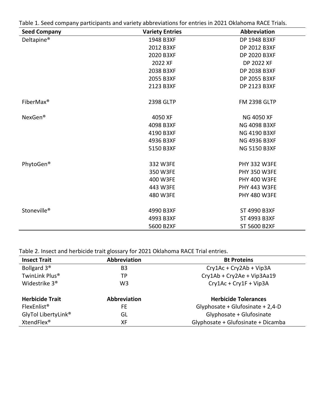Table 1. Seed company participants and variety abbreviations for entries in 2021 Oklahoma RACE Trials.

| <b>Seed Company</b>     | <b>Variety Entries</b> | Abbreviation        |
|-------------------------|------------------------|---------------------|
| Deltapine <sup>®</sup>  | 1948 B3XF              | DP 1948 B3XF        |
|                         | 2012 B3XF              | DP 2012 B3XF        |
|                         | 2020 B3XF              | DP 2020 B3XF        |
|                         | 2022 XF                | DP 2022 XF          |
|                         | 2038 B3XF              | DP 2038 B3XF        |
|                         | 2055 B3XF              | DP 2055 B3XF        |
|                         | 2123 B3XF              | DP 2123 B3XF        |
| FiberMax <sup>®</sup>   | 2398 GLTP              | <b>FM 2398 GLTP</b> |
| NexGen <sup>®</sup>     | 4050 XF                | <b>NG 4050 XF</b>   |
|                         | 4098 B3XF              | <b>NG 4098 B3XF</b> |
|                         | 4190 B3XF              | <b>NG 4190 B3XF</b> |
|                         | 4936 B3XF              | <b>NG 4936 B3XF</b> |
|                         | 5150 B3XF              | <b>NG 5150 B3XF</b> |
| PhytoGen®               | 332 W3FE               | <b>PHY 332 W3FE</b> |
|                         | 350 W3FE               | <b>PHY 350 W3FE</b> |
|                         | 400 W3FE               | <b>PHY 400 W3FE</b> |
|                         | 443 W3FE               | <b>PHY 443 W3FE</b> |
|                         | 480 W3FE               | <b>PHY 480 W3FE</b> |
| Stoneville <sup>®</sup> | 4990 B3XF              | ST 4990 B3XF        |
|                         | 4993 B3XF              | ST 4993 B3XF        |
|                         | 5600 B2XF              | ST 5600 B2XF        |

Table 2. Insect and herbicide trait glossary for 2021 Oklahoma RACE Trial entries.

| <b>Insect Trait</b>             | Abbreviation        | <b>Bt Proteins</b>                 |
|---------------------------------|---------------------|------------------------------------|
| Bollgard 3 <sup>®</sup>         | B <sub>3</sub>      | Cry1Ac + Cry2Ab + Vip3A            |
| TwinLink Plus <sup>®</sup>      | ТP                  | Cry1Ab + Cry2Ae + Vip3Aa19         |
| Widestrike 3 <sup>®</sup>       | W3                  | Cry1Ac + Cry1F + Vip3A             |
| <b>Herbicide Trait</b>          | <b>Abbreviation</b> | <b>Herbicide Tolerances</b>        |
| FlexEnlist <sup>®</sup>         | FE.                 | Glyphosate + Glufosinate + 2,4-D   |
| GlyTol LibertyLink <sup>®</sup> | GL                  | Glyphosate + Glufosinate           |
| XtendFlex <sup>®</sup>          | XF                  | Glyphosate + Glufosinate + Dicamba |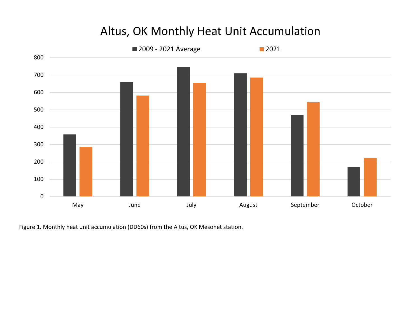# Altus, OK Monthly Heat Unit Accumulation



Figure 1. Monthly heat unit accumulation (DD60s) from the Altus, OK Mesonet station.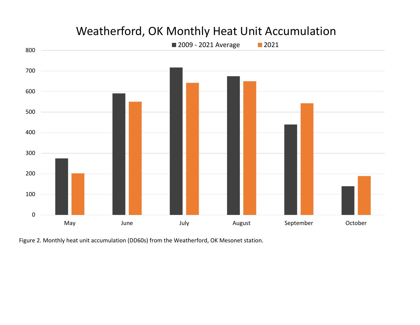

# Weatherford, OK Monthly Heat Unit Accumulation

Figure 2. Monthly heat unit accumulation (DD60s) from the Weatherford, OK Mesonet station.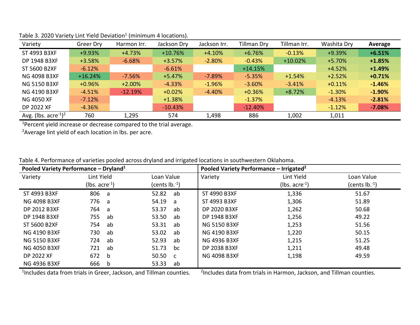| Variety                 | Greer Dry | Harmon Irr. | Jackson Dry | Jackson Irr. | Tillman Dry | Tillman Irr. | Washita Dry | Average  |
|-------------------------|-----------|-------------|-------------|--------------|-------------|--------------|-------------|----------|
| ST 4993 B3XF            | $+9.93%$  | $+4.73%$    | $+10.76%$   | $+4.10%$     | $+6.76%$    | $-0.13%$     | +9.39%      | $+6.51%$ |
| DP 1948 B3XF            | $+3.58%$  | $-6.68%$    | $+3.57%$    | $-2.80%$     | $-0.43%$    | $+10.02%$    | $+5.70%$    | $+1.85%$ |
| ST 5600 B2XF            | $-6.12%$  |             | $-6.61%$    |              | $+14.15%$   |              | $+4.52%$    | $+1.49%$ |
| <b>NG 4098 B3XF</b>     | $+16.24%$ | $-7.56%$    | $+5.47%$    | $-7.89%$     | $-5.35%$    | $+1.54%$     | $+2.52%$    | $+0.71%$ |
| <b>NG 5150 B3XF</b>     | $+0.96%$  | $+2.00%$    | $-4.33%$    | $-1.96%$     | $-3.60%$    | $-3.41%$     | $+0.11%$    | $-1.46%$ |
| <b>NG 4190 B3XF</b>     | $-4.51%$  | $-12.19%$   | $+0.02%$    | $-4.40%$     | $+0.36%$    | $+8.72%$     | $-1.30%$    | $-1.90%$ |
| <b>NG 4050 XF</b>       | $-7.12%$  |             | $+1.38%$    |              | $-1.37%$    |              | $-4.13%$    | $-2.81%$ |
| <b>DP 2022 XF</b>       | $-4.36%$  |             | $-10.43%$   |              | $-12.40%$   |              | $-1.12%$    | $-7.08%$ |
| Avg. (lbs. $\arccos 12$ | 760       | 1,295       | 574         | 1,498        | 886         | 1,002        | 1,011       |          |

#### Table 3. 2020 Variety Lint Yield Deviation<sup>1</sup> (minimum 4 locations).

<sup>1</sup>Percent yield increase or decrease compared to the trial average.

<sup>2</sup> Average lint yield of each location in lbs. per acre.

|  |  |  |  | Table 4. Performance of varieties pooled across dryland and irrigated locations in southwestern Oklahoma. |
|--|--|--|--|-----------------------------------------------------------------------------------------------------------|
|--|--|--|--|-----------------------------------------------------------------------------------------------------------|

| Pooled Variety Performance - Dryland <sup>1</sup> |                              |                       | Pooled Variety Performance – Irrigated <sup>2</sup> |                      |                  |  |
|---------------------------------------------------|------------------------------|-----------------------|-----------------------------------------------------|----------------------|------------------|--|
| Variety                                           | Lint Yield                   | Loan Value            | Variety                                             | Lint Yield           | Loan Value       |  |
|                                                   | ( $lbs. \text{ acre}^{-1}$ ) | (cents $lb.^1$ )      |                                                     | ( $lbs. acre^{-1}$ ) | (cents $lb.^1$ ) |  |
| ST 4993 B3XF                                      | 806<br>a                     | 52.82<br>ab           | ST 4990 B3XF                                        | 1,336                | 51.67            |  |
| <b>NG 4098 B3XF</b>                               | 776<br>a                     | 54.19<br>a            | ST 4993 B3XF                                        | 1,306                | 51.89            |  |
| <b>DP 2012 B3XF</b>                               | 764<br>a                     | 53.37<br>ab           | <b>DP 2020 B3XF</b>                                 | 1,262                | 50.68            |  |
| DP 1948 B3XF                                      | 755<br>ab                    | 53.50<br>ab           | DP 1948 B3XF                                        | 1,256                | 49.22            |  |
| <b>ST 5600 B2XF</b>                               | 754<br>ab                    | 53.31<br>ab           | <b>NG 5150 B3XF</b>                                 | 1,253                | 51.56            |  |
| <b>NG 4190 B3XF</b>                               | 730<br>ab                    | 53.02<br>ab           | <b>NG 4190 B3XF</b>                                 | 1,220                | 50.15            |  |
| <b>NG 5150 B3XF</b>                               | 724<br>ab                    | 52.93<br>ab           | <b>NG 4936 B3XF</b>                                 | 1,215                | 51.25            |  |
| <b>NG 4050 B3XF</b>                               | 721<br>ab                    | 51.73<br>bc           | <b>DP 2038 B3XF</b>                                 | 1,211                | 49.48            |  |
| <b>DP 2022 XF</b>                                 | 672<br>b                     | 50.50<br>$\mathbf{C}$ | <b>NG 4098 B3XF</b>                                 | 1,198                | 49.59            |  |
| <b>NG 4936 B3XF</b>                               | 666<br>b                     | 53.33<br>ab           |                                                     |                      |                  |  |

<sup>1</sup>Includes data from trials in Greer, Jackson, and Tillman counties.

<sup>2</sup>Includes data from trials in Harmon, Jackson, and Tillman counties.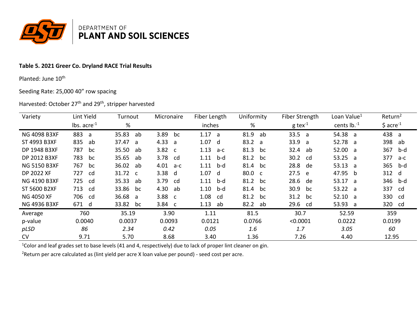

# Table 5. 2021 Greer Co. Dryland RACE Trial Results

Planted: June 10<sup>th</sup>

Seeding Rate: 25,000 40" row spacing

# Harvested: October 27<sup>th</sup> and 29<sup>th</sup>, stripper harvested

| Variety             | Lint Yield       | Turnout     | Micronaire           | Fiber Length           | Uniformity | Fiber Strength        | Loan Value <sup>1</sup> | Return <sup>2</sup>    |
|---------------------|------------------|-------------|----------------------|------------------------|------------|-----------------------|-------------------------|------------------------|
|                     | $lbs. acre^{-1}$ | %           |                      | inches                 | %          | $g$ tex <sup>-1</sup> | cents $lb.^1$           | $$$ acre <sup>-1</sup> |
| <b>NG 4098 B3XF</b> | 883<br>a         | 35.83<br>ab | 3.89<br>bc           | 1.17<br>$\overline{a}$ | 81.9<br>ab | 33.5 a                | 54.38<br>- a            | 438 a                  |
| ST 4993 B3XF        | 835<br>ab        | 37.47 a     | 4.33<br>- a          | 1.07<br>d              | 83.2 a     | 33.9<br>a             | 52.78 a                 | 398<br>ab              |
| DP 1948 B3XF        | 787<br>bc        | 35.50<br>ab | 3.82<br>$\mathbf{C}$ | 1.13<br>a-c            | 81.3<br>bc | 32.4<br>ab            | 52.00<br>่ล             | 367<br>b-d             |
| DP 2012 B3XF        | 783<br>bc        | 35.65<br>ab | 3.78<br>cd           | 1.11<br>b-d            | 81.2<br>bc | 30.2<br>cd            | 53.25<br>่ล             | 377<br>a-c             |
| <b>NG 5150 B3XF</b> | 767<br>bc        | 36.02<br>ab | 4.01<br>a-c          | 1.11<br>b-d            | 81.4<br>bc | 28.8<br>de            | 53.13<br>- a            | 365<br>b-d             |
| DP 2022 XF          | 727<br>.cd       | 31.72 c     | 3.38<br>d            | 1.07<br>d              | 80.0 c     | 27.5<br>e e           | 47.95<br>b              | 312 d                  |
| <b>NG 4190 B3XF</b> | 725<br>cd        | 35.33<br>ab | 3.79<br>cd           | 1.11<br>b-d            | 81.2<br>bc | 28.6<br>de            | 53.17<br>่ล             | 346 b-d                |
| ST 5600 B2XF        | 713<br>cd        | 33.86<br>bc | 4.30<br>ab           | 1.10<br>b-d            | 81.4<br>bc | 30.9<br>bc            | 53.22 a                 | 337<br>cd              |
| <b>NG 4050 XF</b>   | 706<br>_cd       | 36.68 a     | 3.88 <sub>c</sub>    | 1.08<br>cd             | 81.2<br>bc | 31.2 bc               | 52.10<br>่ล             | 330 cd                 |
| <b>NG 4936 B3XF</b> | 671 d            | 33.82<br>bc | $3.84 \quad c$       | 1.13<br>ab             | 82.2 ab    | 29.6<br>cd            | 53.93<br>a              | 320 cd                 |
| Average             | 760              | 35.19       | 3.90                 | 1.11                   | 81.5       | 30.7                  | 52.59                   | 359                    |
| p-value             | 0.0040           | 0.0037      | 0.0093               | 0.0121                 | 0.0766     | < 0.0001              | 0.0222                  | 0.0199                 |
| pLSD                | 86               | 2.34        | 0.42                 | 0.05                   | 1.6        | 1.7                   | 3.05                    | 60                     |
| <b>CV</b>           | 9.71             | 5.70        | 8.68                 | 3.40                   | 1.36       | 7.26                  | 4.40                    | 12.95                  |

<sup>1</sup>Color and leaf grades set to base levels (41 and 4, respectively) due to lack of proper lint cleaner on gin.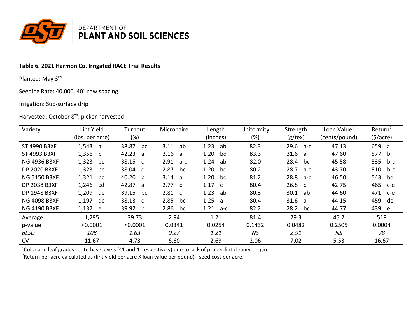

# Table 6. 2021 Harmon Co. Irrigated RACE Trial Results

Planted: May 3rd

Seeding Rate: 40,000, 40" row spacing

#### Irrigation: Sub-surface drip

# Harvested: October 8<sup>th</sup>, picker harvested

| Variety             | Lint Yield      | Turnout     | Micronaire           | Length               | Uniformity | Strength          | Loan Value <sup>1</sup> | Return <sup>2</sup> |
|---------------------|-----------------|-------------|----------------------|----------------------|------------|-------------------|-------------------------|---------------------|
|                     | (lbs. per acre) | (%)         |                      | (inches)             | (%)        | $(g$ /tex)        | (cents/pound)           | (5/acre)            |
| ST 4990 B3XF        | 1,543<br>a -    | 38.87<br>bc | 3.11<br>ab           | 1.23<br>ab           | 82.3       | 29.6<br>a-c       | 47.13                   | 659 a               |
| ST 4993 B3XF        | $1,356$ b       | 42.23<br>a  | 3.16<br>a            | 1.20<br>bc           | 83.3       | 31.6<br>่ล        | 47.60                   | 577 b               |
| <b>NG 4936 B3XF</b> | 1,323<br>bc     | 38.15 c     | 2.91<br>$a-c$        | 1.24<br>ab           | 82.0       | 28.4<br>bc        | 45.58                   | 535<br>b-d          |
| DP 2020 B3XF        | 1,323<br>bc     | 38.04 c     | 2.87<br>bc           | 1.20<br>bc           | 80.2       | 28.7<br>$a-c$     | 43.70                   | 510<br>b-e          |
| <b>NG 5150 B3XF</b> | 1,321<br>bc     | 40.20<br>b  | 3.14<br>่ล           | 1.20<br>bc           | 81.2       | 28.8<br>a-c       | 46.50                   | 543<br>bc           |
| DP 2038 B3XF        | 1,246<br>cd     | 42.87 a     | 2.77 c               | 1.17<br>$\mathsf{C}$ | 80.4       | 26.8 <sub>c</sub> | 42.75                   | 465<br>c-e          |
| DP 1948 B3XF        | 1,209<br>de     | 39.15<br>bc | 2.81<br>$\mathsf{C}$ | 1.23<br>ab           | 80.3       | 30.1<br>ab        | 44.60                   | 471<br>$c-e$        |
| <b>NG 4098 B3XF</b> | 1,197<br>de     | 38.13 c     | 2.85<br>bc           | 1.25<br>-a           | 80.4       | 31.6<br>- a       | 44.15                   | 459<br>de           |
| <b>NG 4190 B3XF</b> | 1,137 e         | 39.92<br>b  | 2.86<br>bc           | 1.21<br>a-c          | 82.2       | 28.2<br>bc        | 44.77                   | 439 e               |
| Average             | 1,295           | 39.73       | 2.94                 | 1.21                 | 81.4       | 29.3              | 45.2                    | 518                 |
| p-value             | < 0.0001        | < 0.0001    | 0.0341               | 0.0254               | 0.1432     | 0.0482            | 0.2505                  | 0.0004              |
| pLSD                | 108             | 1.63        | 0.27                 | 1.21                 | <b>NS</b>  | 2.91              | <b>NS</b>               | 78                  |
| <b>CV</b>           | 11.67           | 4.73        | 6.60                 | 2.69                 | 2.06       | 7.02              | 5.53                    | 16.67               |

<sup>1</sup>Color and leaf grades set to base levels (41 and 4, respectively) due to lack of proper lint cleaner on gin.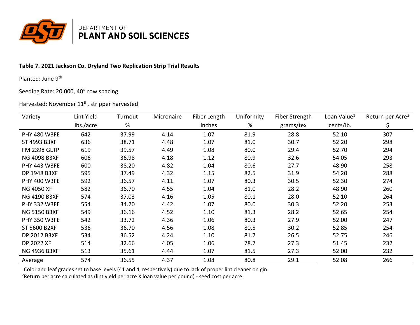

# **Table 7. 2021 Jackson Co. Dryland Two Replication Strip Trial Results**

Planted: June 9<sup>th</sup>

#### Seeding Rate: 20,000, 40" row spacing

### Harvested: November 11<sup>th</sup>, stripper harvested

| Variety             | Lint Yield | Turnout | Micronaire | Fiber Length | Uniformity | Fiber Strength | Loan Value <sup>1</sup> | Return per Acre <sup>2</sup> |
|---------------------|------------|---------|------------|--------------|------------|----------------|-------------------------|------------------------------|
|                     | lbs./acre  | %       |            | inches       | %          | grams/tex      | cents/lb.               |                              |
| <b>PHY 480 W3FE</b> | 642        | 37.99   | 4.14       | 1.07         | 81.9       | 28.8           | 52.10                   | 307                          |
| ST 4993 B3XF        | 636        | 38.71   | 4.48       | 1.07         | 81.0       | 30.7           | 52.20                   | 298                          |
| <b>FM 2398 GLTP</b> | 619        | 39.57   | 4.49       | 1.08         | 80.0       | 29.4           | 52.70                   | 294                          |
| <b>NG 4098 B3XF</b> | 606        | 36.98   | 4.18       | 1.12         | 80.9       | 32.6           | 54.05                   | 293                          |
| <b>PHY 443 W3FE</b> | 600        | 38.20   | 4.82       | 1.04         | 80.6       | 27.7           | 48.90                   | 258                          |
| DP 1948 B3XF        | 595        | 37.49   | 4.32       | 1.15         | 82.5       | 31.9           | 54.20                   | 288                          |
| <b>PHY 400 W3FE</b> | 592        | 36.57   | 4.11       | 1.07         | 80.3       | 30.5           | 52.30                   | 274                          |
| NG 4050 XF          | 582        | 36.70   | 4.55       | 1.04         | 81.0       | 28.2           | 48.90                   | 260                          |
| <b>NG 4190 B3XF</b> | 574        | 37.03   | 4.16       | 1.05         | 80.1       | 28.0           | 52.10                   | 264                          |
| <b>PHY 332 W3FE</b> | 554        | 34.20   | 4.42       | 1.07         | 80.0       | 30.3           | 52.20                   | 253                          |
| <b>NG 5150 B3XF</b> | 549        | 36.16   | 4.52       | 1.10         | 81.3       | 28.2           | 52.65                   | 254                          |
| <b>PHY 350 W3FE</b> | 542        | 33.72   | 4.36       | 1.06         | 80.3       | 27.9           | 52.00                   | 247                          |
| <b>ST 5600 B2XF</b> | 536        | 36.70   | 4.56       | 1.08         | 80.5       | 30.2           | 52.85                   | 254                          |
| DP 2012 B3XF        | 534        | 36.52   | 4.24       | 1.10         | 81.7       | 26.5           | 52.75                   | 246                          |
| <b>DP 2022 XF</b>   | 514        | 32.66   | 4.05       | 1.06         | 78.7       | 27.3           | 51.45                   | 232                          |
| <b>NG 4936 B3XF</b> | 513        | 35.61   | 4.44       | 1.07         | 81.5       | 27.3           | 52.00                   | 232                          |
| Average             | 574        | 36.55   | 4.37       | 1.08         | 80.8       | 29.1           | 52.08                   | 266                          |

<sup>1</sup>Color and leaf grades set to base levels (41 and 4, respectively) due to lack of proper lint cleaner on gin.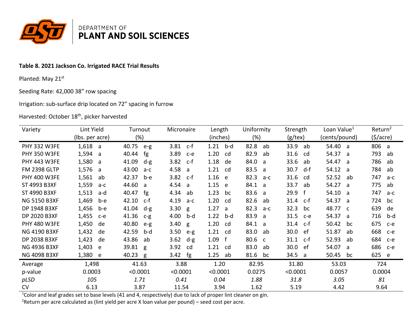

# Table 8. 2021 Jackson Co. Irrigated RACE Trial Results

Planted: May 21st

Seeding Rate: 42,000 38" row spacing

Irrigation: sub-surface drip located on 72" spacing in furrow

Harvested: October 18<sup>th</sup>, picker harvested

| Variety             | Lint Yield      | Turnout        | Micronaire    | Length      | Uniformity           | Strength                 | Loan Value <sup>1</sup> | Return <sup>2</sup> |
|---------------------|-----------------|----------------|---------------|-------------|----------------------|--------------------------|-------------------------|---------------------|
|                     | (lbs. per acre) | $(\%)$         |               | (inches)    | (%)                  | $(g$ /tex)               | (cents/pound)           | $($ \$/acre $)$     |
| <b>PHY 332 W3FE</b> | $1,618$ a       | 40.75<br>$e-g$ | 3.81<br>c-f   | 1.21<br>b-d | 82.8<br>ab           | 33.9<br>ab               | 54.40 a                 | 806 a               |
| <b>PHY 350 W3FE</b> | 1,594<br>a      | 40.44<br>fg    | 3.89<br>$c-e$ | 1.20<br>cd  | 82.9<br>ab           | 31.6<br>cd               | 54.37 a                 | 793<br>ab           |
| <b>PHY 443 W3FE</b> | 1,580<br>a      | 41.09<br>$d-g$ | 3.82<br>$c-f$ | 1.18<br>de  | 84.0<br>a            | 33.6<br>ab               | 54.47<br>- a            | 786<br>ab           |
| <b>FM 2398 GLTP</b> | 1,576<br>a      | 43.00<br>$a-c$ | 4.58<br>a     | 1.21<br>cd  | 83.5<br>a            | 30.7<br>d-f              | 54.12<br>- a            | 784<br>ab           |
| <b>PHY 400 W3FE</b> | 1,561<br>ab     | 42.37<br>b-e   | 3.82<br>c-f   | 1.16<br>e   | 82.3<br>$a-c$        | 31.6<br>cd               | 52.52<br>ab             | 747<br>$a-c$        |
| ST 4993 B3XF        | 1,559<br>a-c    | 44.60<br>a     | 4.54<br>a     | 1.15<br>e   | 84.1<br>- a          | 33.7<br>ab               | 54.27<br>่ล             | 775<br>ab           |
| ST 4990 B3XF        | 1,513<br>a-d    | 40.47<br>fg    | 4.34<br>ab    | 1.23<br>bc  | 83.6<br>a            | 29.9<br>f                | 54.10<br>- a            | 747<br>$a-c$        |
| <b>NG 5150 B3XF</b> | 1,469<br>b-e    | 42.10<br>c-f   | 4.19<br>$a-c$ | 1.20<br>cd  | 82.6<br>ab           | 31.4 c-f                 | 54.37 a                 | 724<br>bc           |
| DP 1948 B3XF        | 1,456<br>b-e    | 41.04<br>$d-g$ | 3.30<br>g     | 1.27<br>a   | 82.3<br>$a-c$        | 32.3<br>bc               | 48.77 c                 | 639<br>de           |
| DP 2020 B3XF        | 1,455<br>$c-e$  | 41.36<br>$C-P$ | 4.00<br>b-d   | 1.22<br>b-d | 83.9<br>a            | 31.5<br>$c-e$            | 54.37 a                 | 716<br>b-d          |
| <b>PHY 480 W3FE</b> | 1,450<br>de     | 40.80<br>$e-g$ | 3.40<br>g     | 1.20<br>cd  | 84.1<br>a            | 31.4<br>c-f              | 50.42<br>bc             | 675<br>$c-e$        |
| <b>NG 4190 B3XF</b> | 1,432<br>de     | 42.59<br>b-d   | 3.50<br>$e-g$ | 1.21<br>cd  | 83.0<br>ab           | 30.0 <sub>1</sub><br>-ef | 51.87<br>ab             | 668<br>c-e          |
| DP 2038 B3XF        | 1,423<br>de     | 43.86<br>ab    | 3.62<br>$d-g$ | 1.09        | 80.6<br>$\mathbf{C}$ | 31.1 c-f                 | 52.93<br>ab             | 684<br>$c-e$        |
| <b>NG 4936 B3XF</b> | 1,403<br>e      | 39.81 g        | 3.92<br>cd    | 1.21<br>cd  | 83.0<br>ab           | 30.0<br>ef               | 54.07<br>a              | 686<br>c-e          |
| <b>NG 4098 B3XF</b> | 1,380<br>e e    | 40.23<br>g     | 3.42<br>fg    | 1.25<br>ab  | 81.6<br>bc           | 34.5<br>- a              | 50.45<br>bc             | 625 e               |
| Average             | 1,498           | 41.63          | 3.88          | 1.20        | 82.95                | 31.80                    | 53.03                   | 724                 |
| p-value             | 0.0003          | < 0.0001       | < 0.0001      | < 0.0001    | 0.0275               | < 0.0001                 | 0.0057                  | 0.0004              |
| pLSD                | 105             | 1.71           | 0.41          | 0.04        | 1.88                 | 31.8                     | 3.05                    | 81                  |
| <b>CV</b>           | 6.13            | 3.87           | 11.54         | 3.94        | 1.62                 | 5.19                     | 4.42                    | 9.64                |

<sup>1</sup>Color and leaf grades set to base levels (41 and 4, respectively) due to lack of proper lint cleaner on gin.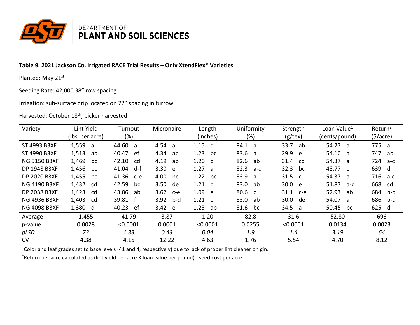

### Table 9. 2021 Jackson Co. Irrigated RACE Trial Results - Only XtendFlex® Varieties

Planted: May 21st

Seeding Rate: 42,000 38" row spacing

Irrigation: sub-surface drip located on 72" spacing in furrow

Harvested: October 18<sup>th</sup>, picker harvested

| Variety             | Lint Yield      | Turnout             | Micronaire  | Length               | Uniformity  | Strength             | Loan Value <sup>1</sup> | Return <sup>2</sup> |
|---------------------|-----------------|---------------------|-------------|----------------------|-------------|----------------------|-------------------------|---------------------|
|                     | (lbs. per acre) | (%)                 |             | (inches)             | (%)         | $(g$ /tex)           | (cents/pound)           | (5/acre)            |
| ST 4993 B3XF        | 1,559<br>a a    | 44.60<br>a          | 4.54<br>- a | 1.15<br>d            | 84.1<br>- a | 33.7<br>ab           | 54.27 a                 | 775 a               |
| ST 4990 B3XF        | 1,513<br>ab     | 40.47<br>ef         | 4.34<br>ab  | 1.23<br>bc           | 83.6 a      | 29.9<br>e            | 54.10 a                 | 747<br>ab           |
| <b>NG 5150 B3XF</b> | 1,469<br>bc     | 42.10<br>cd         | 4.19<br>ab  | 1.20<br>$\mathsf{C}$ | 82.6<br>ab  | 31.4<br>cd           | 54.37 a                 | 724<br>a-c          |
| DP 1948 B3XF        | 1,456<br>bc     | 41.04<br>d-f        | 3.30 e      | 1.27<br>a            | 82.3<br>a-c | 32.3<br>bc           | 48.77 c                 | 639 d               |
| DP 2020 B3XF        | 1,455<br>bc     | 41.36<br>$c-e$      | 4.00<br>bc  | 1.22<br>bc           | 83.9<br>- a | 31.5<br>$\mathsf{C}$ | 54.37 a                 | 716 a-c             |
| <b>NG 4190 B3XF</b> | 1,432<br>cd     | 42.59<br>bc         | 3.50 de     | $1.21\phantom{0}c$   | 83.0 ab     | 30.0 e               | 51.87<br>a-c            | 668<br>- cd         |
| DP 2038 B3XF        | 1,423<br>cd     | 43.86<br>ab         | 3.62<br>c-e | 1.09<br>e            | 80.6 c      | 31.1<br>$c-e$        | 52.93<br>ab             | 684<br>b-d          |
| <b>NG 4936 B3XF</b> | 1,403<br>cd     | 39.81<br>$^{\rm t}$ | 3.92<br>b-d | 1.21<br>$\mathbf{C}$ | 83.0<br>ab  | 30.0<br>de           | 54.07 a                 | 686<br>b-d          |
| <b>NG 4098 B3XF</b> | 1,380 d         | 40.23<br>-ef        | 3.42 e      | 1.25<br>ab           | 81.6<br>bc  | 34.5<br>- a          | 50.45<br>bc             | 625 d               |
| Average             | 1,455           | 41.79               | 3.87        | 1.20                 | 82.8        | 31.6                 | 52.80                   | 696                 |
| p-value             | 0.0028          | < 0.0001            | 0.0001      | < 0.0001             | 0.0255      | < 0.0001             | 0.0134                  | 0.0023              |
| pLSD                | 73              | 1.33                | 0.43        | 0.04                 | 1.9         | 1.4                  | 3.19                    | 64                  |
| <b>CV</b>           | 4.38            | 4.15                | 12.22       | 4.63                 | 1.76        | 5.54                 | 4.70                    | 8.12                |

<sup>1</sup>Color and leaf grades set to base levels (41 and 4, respectively) due to lack of proper lint cleaner on gin.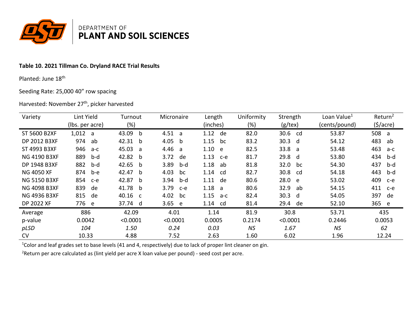

# Table 10. 2021 Tillman Co. Dryland RACE Trial Results

Planted: June 18th

Seeding Rate: 25,000 40" row spacing

Harvested: November 27<sup>th</sup>, picker harvested

| Variety             | Lint Yield      | Turnout               | Micronaire    | Length        | Uniformity | Strength   | Loan Value <sup>1</sup> | Return <sup>2</sup>  |
|---------------------|-----------------|-----------------------|---------------|---------------|------------|------------|-------------------------|----------------------|
|                     | (lbs. per acre) | (%)                   |               | (inches)      | $(\%)$     | $(g$ /tex) | (cents/pound)           | $(\frac{1}{2})accre$ |
| <b>ST 5600 B2XF</b> | 1,012 a         | 43.09<br>b            | 4.51<br>a     | 1.12<br>de    | 82.0       | 30.6<br>cd | 53.87                   | 508<br>- a           |
| <b>DP 2012 B3XF</b> | 974<br>ab       | 42.31<br>b            | 4.05<br>b     | 1.15<br>bc    | 83.2       | 30.3 d     | 54.12                   | 483<br>ab            |
| ST 4993 B3XF        | 946<br>a-c      | 45.03<br>a            | 4.46<br>a     | 1.10<br>e     | 82.5       | 33.8 a     | 53.48                   | 463<br>a-c           |
| <b>NG 4190 B3XF</b> | 889<br>b-d      | 42.82<br><sub>b</sub> | 3.72<br>de    | 1.13<br>$c-e$ | 81.7       | 29.8 d     | 53.80                   | 434<br>b-d           |
| <b>DP 1948 B3XF</b> | 882<br>b-d      | 42.65<br>b            | 3.89<br>b-d   | 1.18<br>ab    | 81.8       | 32.0<br>bc | 54.30                   | 437<br>b-d           |
| <b>NG 4050 XF</b>   | 874<br>b-e      | 42.47<br>b            | 4.03<br>bc    | 1.14<br>cd    | 82.7       | 30.8<br>cd | 54.18                   | 443<br>b-d           |
| <b>NG 5150 B3XF</b> | 854<br>c-e      | 42.87<br><sub>b</sub> | 3.94<br>b-d   | 1.11<br>de    | 80.6       | 28.0 e     | 53.02                   | 409<br>$c-e$         |
| <b>NG 4098 B3XF</b> | 839<br>de       | 41.78<br><sub>b</sub> | 3.79<br>$c-e$ | 1.18<br>a     | 80.6       | 32.9<br>ab | 54.15                   | 411<br>$c-e$         |
| <b>NG 4936 B3XF</b> | 815<br>de       | 40.16<br>$\mathsf{C}$ | 4.02<br>bc    | 1.15<br>a-c   | 82.4       | 30.3<br>d  | 54.05                   | 397<br>de            |
| DP 2022 XF          | 776 e           | 37.74 d               | 3.65<br>e     | 1.14<br>cd    | 81.4       | 29.4<br>de | 52.10                   | 365 e                |
| Average             | 886             | 42.09                 | 4.01          | 1.14          | 81.9       | 30.8       | 53.71                   | 435                  |
| p-value             | 0.0042          | < 0.0001              | < 0.0001      | 0.0005        | 0.2174     | < 0.0001   | 0.2446                  | 0.0053               |
| pLSD                | 104             | 1.50                  | 0.24          | 0.03          | NS         | 1.67       | <b>NS</b>               | 62                   |
| <b>CV</b>           | 10.33           | 4.88                  | 7.52          | 2.63          | 1.60       | 6.02       | 1.96                    | 12.24                |

<sup>1</sup>Color and leaf grades set to base levels (41 and 4, respectively) due to lack of proper lint cleaner on gin.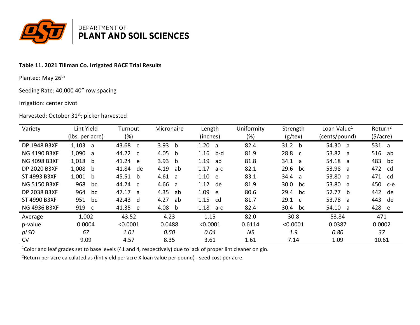

# Table 11. 2021 Tillman Co. Irrigated RACE Trial Results

Planted: May 26th

Seeding Rate: 40,000 40" row spacing

#### Irrigation: center pivot

Harvested: October 31st; picker harvested

| Variety             | Lint Yield      | Turnout     | Micronaire           | Length      | Uniformity | Strength          | Loan Value <sup>1</sup> | Return <sup>2</sup> |
|---------------------|-----------------|-------------|----------------------|-------------|------------|-------------------|-------------------------|---------------------|
|                     | (lbs. per acre) | $(\%)$      |                      | (inches)    | (%)        | $(g$ /tex)        | (cents/pound)           | (5/acre)            |
| DP 1948 B3XF        | 1,103 a         | 43.68 c     | 3.93<br>b            | 1.20<br>a   | 82.4       | 31.2 <sub>b</sub> | 54.30 a                 | 531 a               |
| <b>NG 4190 B3XF</b> | 1,090 a         | 44.22 c     | 4.05<br><sub>b</sub> | 1.16<br>b-d | 81.9       | 28.8 c            | 53.82 a                 | 516 ab              |
| <b>NG 4098 B3XF</b> | $1,018$ b       | 41.24 e     | 3.93<br><sub>b</sub> | 1.19<br>ab  | 81.8       | 34.1<br>่ล        | 54.18 a                 | 483<br>bc           |
| DP 2020 B3XF        | 1,008<br>b      | 41.84<br>de | 4.19<br>ab           | 1.17<br>a-c | 82.1       | 29.6<br>bc        | 53.98 a                 | 472<br>cd           |
| ST 4993 B3XF        | 1,001<br>b      | 45.51 b     | 4.61<br>่ล           | 1.10<br>e   | 83.1       | 34.4<br>a         | 53.80 a                 | 471 cd              |
| <b>NG 5150 B3XF</b> | 968<br>bc       | 44.24 c     | 4.66<br>a            | 1.12<br>de  | 81.9       | 30.0<br>bc        | 53.80 a                 | 450<br>c-e          |
| DP 2038 B3XF        | 964<br>bc       | 47.17 a     | 4.35<br>ab           | 1.09<br>e   | 80.6       | 29.4<br>bc        | 52.77 b                 | 442<br>de           |
| ST 4990 B3XF        | 951<br>bc       | 42.43 d     | 4.27<br>ab           | 1.15<br>_cd | 81.7       | 29.1 c            | 53.78 a                 | 443<br>de           |
| <b>NG 4936 B3XF</b> | 919 c           | 41.35 e     | 4.08<br>b            | 1.18<br>a-c | 82.4       | 30.4<br>bc        | 54.10 a                 | 428 e               |
| Average             | 1,002           | 43.52       | 4.23                 | 1.15        | 82.0       | 30.8              | 53.84                   | 471                 |
| p-value             | 0.0004          | < 0.0001    | 0.0488               | < 0.0001    | 0.6114     | < 0.0001          | 0.0387                  | 0.0002              |
| pLSD                | 67              | 1.01        | 0.50                 | 0.04        | ΝS         | 1.9               | 0.80                    | 37                  |
| <b>CV</b>           | 9.09            | 4.57        | 8.35                 | 3.61        | 1.61       | 7.14              | 1.09                    | 10.61               |

<sup>1</sup>Color and leaf grades set to base levels (41 and 4, respectively) due to lack of proper lint cleaner on gin.